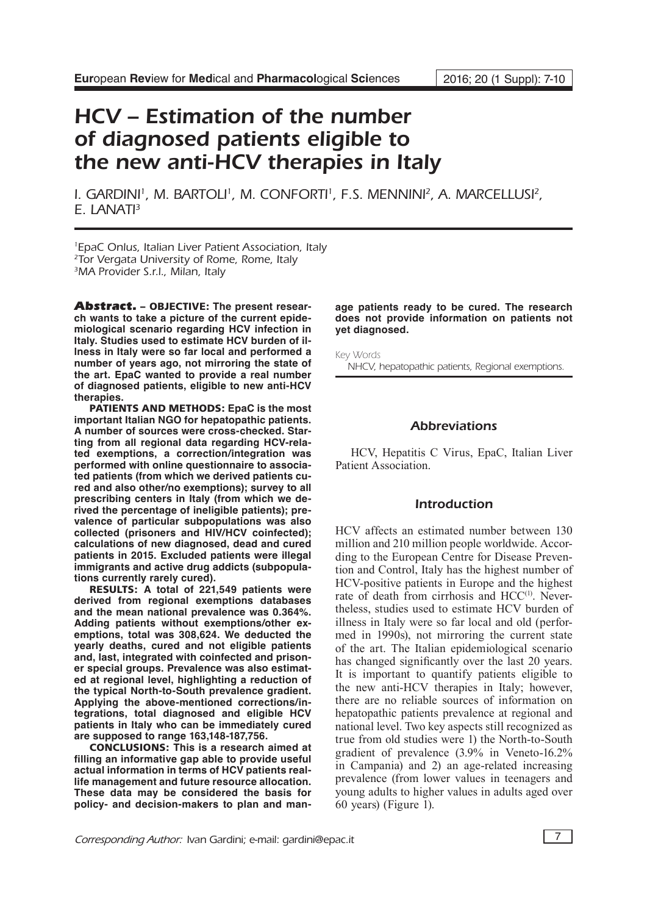# HCV – Estimation of the number of diagnosed patients eligible to the new anti-HCV therapies in Italy

I. GARDINI<sup>1</sup>, M. BARTOLI<sup>1</sup>, M. CONFORTI<sup>1</sup>, F.S. MENNINI<sup>2</sup>, A. MARCELLUSI<sup>2</sup>, E. LANATI<sup>3</sup>

1 EpaC Onlus, Italian Liver Patient Association, Italy <sup>2</sup>Tor Vergata University of Rome, Rome, Italy <sup>3</sup>MA Provider S.r.l., Milan, Italy

Abstract. – OBJECTIVE: **The present research wants to take a picture of the current epidemiological scenario regarding HCV infection in Italy. Studies used to estimate HCV burden of illness in Italy were so far local and performed a number of years ago, not mirroring the state of the art. EpaC wanted to provide a real number of diagnosed patients, eligible to new anti-HCV therapies.**

PATIENTS AND METHODS: **EpaC is the most important Italian NGO for hepatopathic patients. A number of sources were cross-checked. Starting from all regional data regarding HCV-related exemptions, a correction/integration was performed with online questionnaire to associated patients (from which we derived patients cured and also other/no exemptions); survey to all prescribing centers in Italy (from which we derived the percentage of ineligible patients); prevalence of particular subpopulations was also collected (prisoners and HIV/HCV coinfected); calculations of new diagnosed, dead and cured patients in 2015. Excluded patients were illegal immigrants and active drug addicts (subpopulations currently rarely cured).**

RESULTS: **A total of 221,549 patients were derived from regional exemptions databases and the mean national prevalence was 0.364%. Adding patients without exemptions/other exemptions, total was 308,624. We deducted the yearly deaths, cured and not eligible patients and, last, integrated with coinfected and prisoner special groups. Prevalence was also estimated at regional level, highlighting a reduction of the typical North-to-South prevalence gradient. Applying the above-mentioned corrections/integrations, total diagnosed and eligible HCV patients in Italy who can be immediately cured are supposed to range 163,148-187,756.**

CONCLUSIONS: **This is a research aimed at filling an informative gap able to provide useful actual information in terms of HCV patients reallife management and future resource allocation. These data may be considered the basis for policy- and decision-makers to plan and man-** **age patients ready to be cured. The research does not provide information on patients not yet diagnosed.**

Key Words NHCV, hepatopathic patients, Regional exemptions.

#### Abbreviations

HCV, Hepatitis C Virus, EpaC, Italian Liver Patient Association.

### Introduction

HCV affects an estimated number between 130 million and 210 million people worldwide. According to the European Centre for Disease Prevention and Control, Italy has the highest number of HCV-positive patients in Europe and the highest rate of death from cirrhosis and HCC<sup>(1)</sup>. Nevertheless, studies used to estimate HCV burden of illness in Italy were so far local and old (performed in 1990s), not mirroring the current state of the art. The Italian epidemiological scenario has changed significantly over the last 20 years. It is important to quantify patients eligible to the new anti-HCV therapies in Italy; however, there are no reliable sources of information on hepatopathic patients prevalence at regional and national level. Two key aspects still recognized as true from old studies were 1) the North-to-South gradient of prevalence (3.9% in Veneto-16.2% in Campania) and 2) an age-related increasing prevalence (from lower values in teenagers and young adults to higher values in adults aged over 60 years) (Figure 1).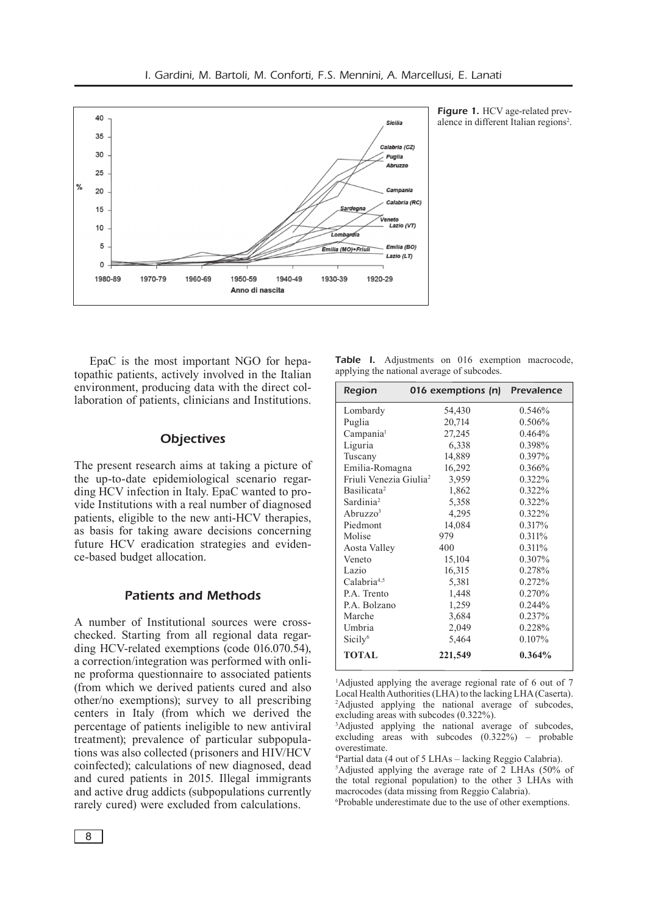

Figure 1. HCV age-related prevalence in different Italian regions<sup>2</sup>.

EpaC is the most important NGO for hepatopathic patients, actively involved in the Italian environment, producing data with the direct collaboration of patients, clinicians and Institutions.

## **Objectives**

The present research aims at taking a picture of the up-to-date epidemiological scenario regarding HCV infection in Italy. EpaC wanted to provide Institutions with a real number of diagnosed patients, eligible to the new anti-HCV therapies, as basis for taking aware decisions concerning future HCV eradication strategies and evidence-based budget allocation.

### Patients and Methods

A number of Institutional sources were crosschecked. Starting from all regional data regarding HCV-related exemptions (code 016.070.54), a correction/integration was performed with online proforma questionnaire to associated patients (from which we derived patients cured and also other/no exemptions); survey to all prescribing centers in Italy (from which we derived the percentage of patients ineligible to new antiviral treatment); prevalence of particular subpopulations was also collected (prisoners and HIV/HCV coinfected); calculations of new diagnosed, dead and cured patients in 2015. Illegal immigrants and active drug addicts (subpopulations currently rarely cured) were excluded from calculations.

|  | <b>Table I.</b> Adjustments on 016 exemption macrocode, |  |  |
|--|---------------------------------------------------------|--|--|
|  | applying the national average of subcodes.              |  |  |

| Region                             | 016 exemptions (n) Prevalence |           |
|------------------------------------|-------------------------------|-----------|
| Lombardy                           | 54,430                        | 0.546%    |
| Puglia                             | 20,714                        | 0.506%    |
| Campania <sup>1</sup>              | 27,245                        | 0.464%    |
| Liguria                            | 6,338                         | 0.398%    |
| Tuscany                            | 14,889                        | 0.397%    |
| Emilia-Romagna                     | 16,292                        | 0.366%    |
| Friuli Venezia Giulia <sup>2</sup> | 3,959                         | 0.322%    |
| Basilicata <sup>2</sup>            | 1,862                         | 0.322%    |
| Sardinia <sup>2</sup>              | 5,358                         | 0.322%    |
| Abruzzo <sup>3</sup>               | 4,295                         | 0.322%    |
| Piedmont                           | 14,084                        | 0.317%    |
| Molise                             | 979                           | 0.311%    |
| Aosta Valley                       | 400                           | 0.311%    |
| Veneto                             | 15,104                        | 0.307%    |
| Lazio                              | 16,315                        | 0.278%    |
| Calabria <sup>4,5</sup>            | 5,381                         | 0.272%    |
| P.A. Trento                        | 1,448                         | 0.270%    |
| P.A. Bolzano                       | 1,259                         | 0.244%    |
| Marche                             | 3,684                         | 0.237%    |
| Umbria                             | 2,049                         | 0.228%    |
| Sicily <sup>6</sup>                | 5,464                         | $0.107\%$ |
| <b>TOTAL</b>                       | 221,549                       | 0.364%    |

1 Adjusted applying the average regional rate of 6 out of 7 Local Health Authorities (LHA) to the lacking LHA (Caserta). 2 Adjusted applying the national average of subcodes, excluding areas with subcodes (0.322%).

6 Probable underestimate due to the use of other exemptions.

<sup>3</sup> Adjusted applying the national average of subcodes, excluding areas with subcodes (0.322%) – probable overestimate.

<sup>4</sup> Partial data (4 out of 5 LHAs – lacking Reggio Calabria).

<sup>5</sup> Adjusted applying the average rate of 2 LHAs (50% of the total regional population) to the other 3 LHAs with macrocodes (data missing from Reggio Calabria).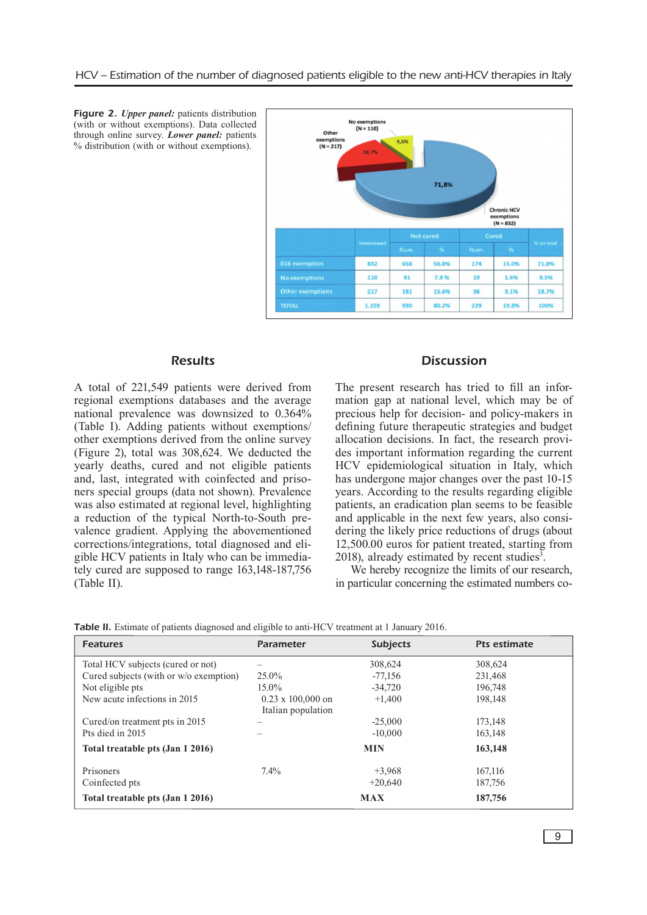

Figure 2. *Upper panel:* patients distribution (with or without exemptions). Data collected through online survey. *Lower panel:* patients % distribution (with or without exemptions).

# **Results**

A total of 221,549 patients were derived from regional exemptions databases and the average national prevalence was downsized to 0.364% (Table I). Adding patients without exemptions/ other exemptions derived from the online survey (Figure 2), total was 308,624. We deducted the yearly deaths, cured and not eligible patients and, last, integrated with coinfected and prisoners special groups (data not shown). Prevalence was also estimated at regional level, highlighting a reduction of the typical North-to-South prevalence gradient. Applying the abovementioned corrections/integrations, total diagnosed and eligible HCV patients in Italy who can be immediately cured are supposed to range 163,148-187,756 (Table II).

#### **Discussion**

The present research has tried to fill an information gap at national level, which may be of precious help for decision- and policy-makers in defining future therapeutic strategies and budget allocation decisions. In fact, the research provides important information regarding the current HCV epidemiological situation in Italy, which has undergone major changes over the past 10-15 years. According to the results regarding eligible patients, an eradication plan seems to be feasible and applicable in the next few years, also considering the likely price reductions of drugs (about 12,500.00 euros for patient treated, starting from  $2018$ ), already estimated by recent studies<sup>3</sup>.

We hereby recognize the limits of our research, in particular concerning the estimated numbers co-

|  | Table II. Estimate of patients diagnosed and eligible to anti-HCV treatment at 1 January 2016. |  |
|--|------------------------------------------------------------------------------------------------|--|
|--|------------------------------------------------------------------------------------------------|--|

| <b>Features</b>                        | <b>Parameter</b>                               | <b>Subjects</b> | <b>Pts estimate</b> |
|----------------------------------------|------------------------------------------------|-----------------|---------------------|
| Total HCV subjects (cured or not)      |                                                | 308,624         | 308,624             |
| Cured subjects (with or w/o exemption) | $25.0\%$                                       | $-77,156$       | 231,468             |
| Not eligible pts                       | $15.0\%$                                       | $-34.720$       | 196.748             |
| New acute infections in 2015           | $0.23 \times 100,000$ on<br>Italian population | $+1,400$        | 198,148             |
| Cured/on treatment pts in 2015         |                                                | $-25,000$       | 173.148             |
| Pts died in 2015                       |                                                | $-10,000$       | 163,148             |
| Total treatable pts (Jan 1 2016)       |                                                | <b>MIN</b>      | 163,148             |
| Prisoners                              | $7.4\%$                                        | $+3,968$        | 167,116             |
| Coinfected pts                         |                                                | $+20.640$       | 187,756             |
| Total treatable pts (Jan 1 2016)       |                                                | <b>MAX</b>      | 187,756             |